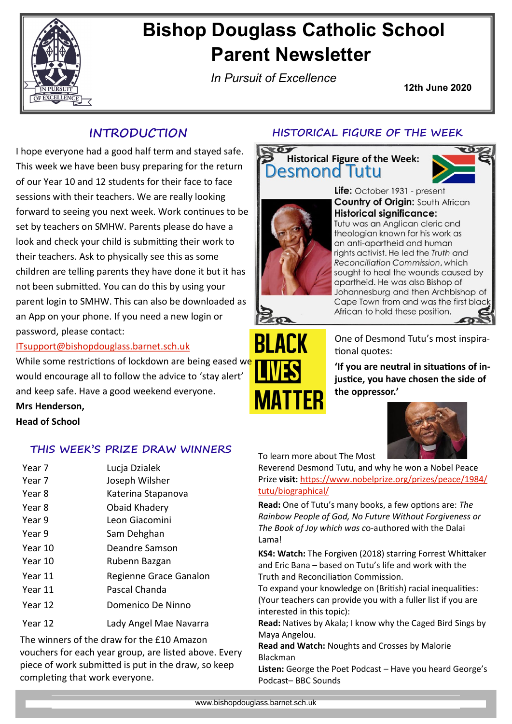

### **Bishop Douglass Catholic School Parent Newsletter**

*In Pursuit of Excellence*

**12th June 2020**

I hope everyone had a good half term and stayed safe. This week we have been busy preparing for the return of our Year 10 and 12 students for their face to face sessions with their teachers. We are really looking forward to seeing you next week. Work continues to be set by teachers on SMHW. Parents please do have a look and check your child is submitting their work to their teachers. Ask to physically see this as some children are telling parents they have done it but it has not been submitted. You can do this by using your parent login to SMHW. This can also be downloaded as an App on your phone. If you need a new login or password, please contact:

[ITsupport@bishopdouglass.barnet.sch.uk](mailto:ITsupport@bishopdouglass.barnet.sch.uk)

While some restrictions of lockdown are being eased we would encourage all to follow the advice to 'stay alert' and keep safe. Have a good weekend everyone.

**Mrs Henderson, Head of School**

#### **THIS WEEK'S PRIZE DRAW WINNERS**

- Year 7 Lucja Dzialek
- Year 7 Joseph Wilsher
- Year 8 Katerina Stapanova
- Year 8 Obaid Khadery
- Year 9 Leon Giacomini
- Year 9 Sam Dehghan
- Year 10 Deandre Samson
- Year 10 **Rubenn Bazgan**
- Year 11 Regienne Grace Ganalon
- Year 11 Pascal Chanda
- Year 12 Domenico De Ninno
- Year 12 Lady Angel Mae Navarra

The winners of the draw for the £10 Amazon vouchers for each year group, are listed above. Every piece of work submitted is put in the draw, so keep completing that work everyone.

#### **INTRODUCTION HISTORICAL FIGURE OF THE WEEK**







Life: October 1931 - present **Country of Origin: South African Historical significance:** Tutu was an Anglican cleric and theologian known for his work as an anti-apartheid and human rights activist. He led the Truth and Reconciliation Commission, which sought to heal the wounds caused by apartheid. He was also Bishop of Johannesburg and then Archbishop of Cape Town from and was the first black African to hold these position.



One of Desmond Tutu's most inspirational quotes:

**'If you are neutral in situations of injustice, you have chosen the side of the oppressor.'**



To learn more about The Most

Reverend Desmond Tutu, and why he won a Nobel Peace Prize **visit:** [https://www.nobelprize.org/prizes/peace/1984/](https://www.nobelprize.org/prizes/peace/1984/tutu/biographical/) [tutu/biographical/](https://www.nobelprize.org/prizes/peace/1984/tutu/biographical/)

**Read:** One of Tutu's many books, a few options are: *The Rainbow People of God, No Future Without Forgiveness or The Book of Joy which was c*o-authored with the Dalai Lama!

**KS4: Watch:** The Forgiven (2018) starring Forrest Whittaker and Eric Bana – based on Tutu's life and work with the Truth and Reconciliation Commission.

To expand your knowledge on (British) racial inequalities: (Your teachers can provide you with a fuller list if you are interested in this topic):

**Read:** Natives by Akala; I know why the Caged Bird Sings by Maya Angelou.

**Read and Watch:** Noughts and Crosses by Malorie Blackman

**Listen:** George the Poet Podcast – Have you heard George's Podcast– BBC Sounds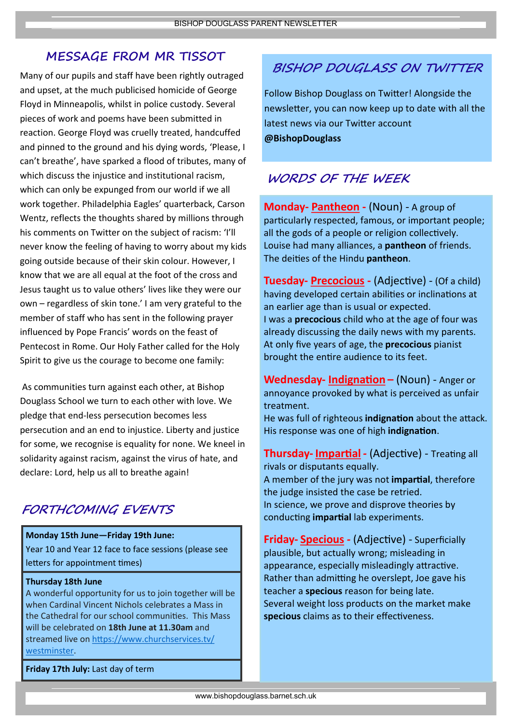#### **MESSAGE FROM MR TISSOT**

Many of our pupils and staff have been rightly outraged and upset, at the much publicised homicide of George Floyd in Minneapolis, whilst in police custody. Several pieces of work and poems have been submitted in reaction. George Floyd was cruelly treated, handcuffed and pinned to the ground and his dying words, 'Please, I can't breathe', have sparked a flood of tributes, many of which discuss the injustice and institutional racism, which can only be expunged from our world if we all work together. Philadelphia Eagles' quarterback, Carson Wentz, reflects the thoughts shared by millions through his comments on Twitter on the subject of racism: 'I'll never know the feeling of having to worry about my kids going outside because of their skin colour. However, I know that we are all equal at the foot of the cross and Jesus taught us to value others' lives like they were our own – regardless of skin tone.' I am very grateful to the member of staff who has sent in the following prayer influenced by Pope Francis' words on the feast of Pentecost in Rome. Our Holy Father called for the Holy Spirit to give us the courage to become one family:

As communities turn against each other, at Bishop Douglass School we turn to each other with love. We pledge that end-less persecution becomes less persecution and an end to injustice. Liberty and justice for some, we recognise is equality for none. We kneel in solidarity against racism, against the virus of hate, and declare: Lord, help us all to breathe again!

#### **FORTHCOMING EVENTS**

#### **Monday 15th June—Friday 19th June:**

Year 10 and Year 12 face to face sessions (please see letters for appointment times)

#### **Thursday 18th June**

A wonderful opportunity for us to join together will be when Cardinal Vincent Nichols celebrates a Mass in the Cathedral for our school communities. This Mass will be celebrated on **18th June at 11.30am** and streamed live on [https://www.churchservices.tv/](http://mail.governorhub.com/track/click/30059758/www.churchservices.tv?p=eyJzIjoiTXdSeDhMaWdrMGFPaFNBOFRId25JYjBfU0kwIiwidiI6MSwicCI6IntcInVcIjozMDA1OTc1OCxcInZcIjoxLFwidXJsXCI6XCJodHRwczpcXFwvXFxcL3d3dy5jaHVyY2hzZXJ2aWNlcy50dlxcXC93ZXN0bWluc3RlclwiLFwiaWRcIj) [westminster.](http://mail.governorhub.com/track/click/30059758/www.churchservices.tv?p=eyJzIjoiTXdSeDhMaWdrMGFPaFNBOFRId25JYjBfU0kwIiwidiI6MSwicCI6IntcInVcIjozMDA1OTc1OCxcInZcIjoxLFwidXJsXCI6XCJodHRwczpcXFwvXFxcL3d3dy5jaHVyY2hzZXJ2aWNlcy50dlxcXC93ZXN0bWluc3RlclwiLFwiaWRcIj)

**Friday 17th July:** Last day of term

### **BISHOP DOUGLASS ON TWITTER**

Follow Bishop Douglass on Twitter! Alongside the newsletter, you can now keep up to date with all the latest news via our Twitter account **@BishopDouglass** 

#### **WORDS OF THE WEEK**

**Monday- Pantheon -** (Noun) - A group of particularly respected, famous, or important people; all the gods of a people or religion collectively. Louise had many alliances, a **pantheon** of friends. The deities of the Hindu **pantheon**.

**Tuesday- Precocious -** (Adjective) - (Of a child) having developed certain abilities or inclinations at an earlier age than is usual or expected. I was a **precocious** child who at the age of four was already discussing the daily news with my parents. At only five years of age, the **precocious** pianist brought the entire audience to its feet.

**Wednesday- Indignation –** (Noun) - Anger or annoyance provoked by what is perceived as unfair treatment.

He was full of righteous **indignation** about the attack. His response was one of high **indignation**.

**Thursday- Impartial** *-* (Adjective) - Treating all rivals or disputants equally. A member of the jury was not **impartial**, therefore the judge insisted the case be retried. In science, we prove and disprove theories by conducting **impartial** lab experiments.

**Friday- Specious** *-* (Adjective) - Superficially plausible, but actually wrong; misleading in appearance, especially misleadingly attractive. Rather than admitting he overslept, Joe gave his teacher a **specious** reason for being late. Several weight loss products on the market make **specious** claims as to their effectiveness.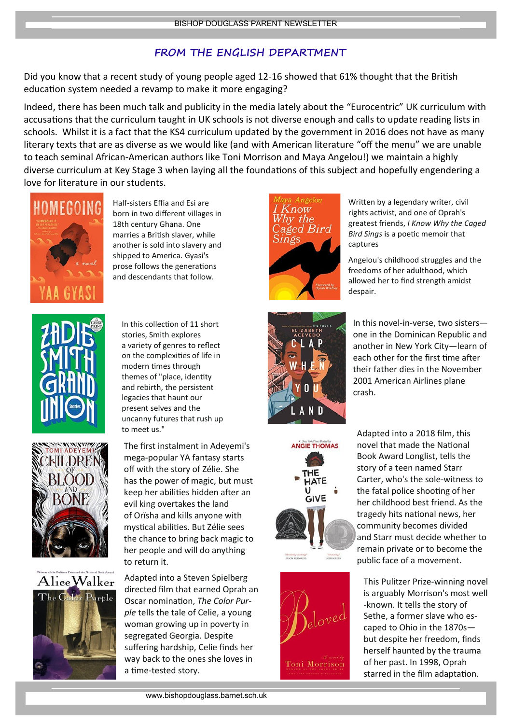#### **FROM THE ENGLISH DEPARTMENT**

Did you know that a recent study of young people aged 12-16 showed that 61% thought that the British education system needed a revamp to make it more engaging?

Indeed, there has been much talk and publicity in the media lately about the "Eurocentric" UK curriculum with accusations that the curriculum taught in UK schools is not diverse enough and calls to update reading lists in schools. Whilst it is a fact that the KS4 curriculum updated by the government in 2016 does not have as many literary texts that are as diverse as we would like (and with American literature "off the menu" we are unable to teach seminal African-American authors like Toni Morrison and Maya Angelou!) we maintain a highly diverse curriculum at Key Stage 3 when laying all the foundations of this subject and hopefully engendering a love for literature in our students.



Half-sisters Effia and Esi are born in two different villages in 18th century Ghana. One marries a British slaver, while another is sold into slavery and shipped to America. Gyasi's prose follows the generations and descendants that follow.







In this collection of 11 short stories, Smith explores a [variety of genres](https://www.oprahmag.com/entertainment/books/a29576863/types-of-book-genres/) to reflect on the complexities of life in modern times through themes of "place, identity and rebirth, the persistent legacies that haunt our present selves and the uncanny futures that rush up to meet us."

The first instalment in Adeyemi's mega-popular YA fantasy starts off with the story of Zélie. She has the power of magic, but must keep her abilities hidden after an evil king overtakes the land of Orïsha and kills anyone with mystical abilities. But Zélie sees the chance to bring back magic to her people and will do anything to return it.

Adapted into a [Steven Spielberg](https://www.oprahmag.com/entertainment/tv-movies/a24663258/the-color-purple-musical-movie-adaptation/)  [directed film](https://www.oprahmag.com/entertainment/tv-movies/a24663258/the-color-purple-musical-movie-adaptation/) that earned Oprah an Oscar nomination, *The Color Purple* tells the tale of Celie, a young woman growing up in poverty in segregated Georgia. Despite suffering hardship, Celie finds her way back to the ones she loves in a time-tested story.



Written by a legendary writer, civil rights activist, and one of Oprah's greatest friends, *I Know Why the Caged Bird Sings* is a poetic memoir that captures

[Angelou's](https://www.oprahmag.com/life/relationships-love/g26029721/maya-angelou-love-quotes/) childhood struggles and the freedoms of her adulthood, which allowed her to find strength amidst despair.



In this novel-in-verse, two sisters one in the Dominican Republic and another in New York City—learn of each other for the first time after their father dies in the November 2001 American Airlines plane crash.





Adapted into a 2018 film, this novel that made the National Book Award Longlist, tells the story of a teen named Starr Carter, who's the sole-witness to the fatal police shooting of her her childhood best friend. As the tragedy hits national news, her community becomes divided and Starr must decide whether to remain private or to become the public face of a movement.

This Pulitzer Prize-winning novel is arguably Morrison's most well -known. It tells the story of Sethe, a former slave who escaped to Ohio in the 1870s but despite her freedom, finds herself haunted by the trauma of her past. In 1998, Oprah starred in the film adaptation.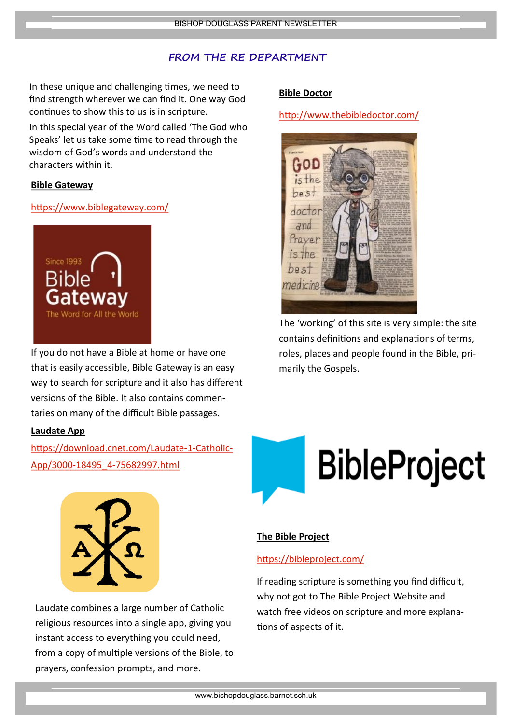#### **FROM THE RE DEPARTMENT**

In these unique and challenging times, we need to find strength wherever we can find it. One way God continues to show this to us is in scripture.

In this special year of the Word called 'The God who Speaks' let us take some time to read through the wisdom of God's words and understand the characters within it.

#### **[Bible Gateway](https://www.biblegateway.com/)**

#### <https://www.biblegateway.com/>



If you do not have a Bible at home or have one that is easily accessible, Bible Gateway is an easy way to search for scripture and it also has different versions of the Bible. It also contains commentaries on many of the difficult Bible passages.

#### **[Laudate App](https://download.cnet.com/Laudate-1-Catholic-App/3000-18495_4-75682997.html)**

[https://download.cnet.com/Laudate](https://download.cnet.com/Laudate-1-Catholic-App/3000-18495_4-75682997.html)-1-Catholic-App/3000-18495\_4-[75682997.html](https://download.cnet.com/Laudate-1-Catholic-App/3000-18495_4-75682997.html)



Laudate combines a large number of Catholic religious resources into a single app, giving you instant access to everything you could need, from a copy of multiple versions of the Bible, to prayers, confession prompts, and more.

#### **[Bible Doctor](http://www.thebibledoctor.com/)**

<http://www.thebibledoctor.com/>



The 'working' of this site is very simple: the site contains definitions and explanations of terms, roles, places and people found in the Bible, primarily the Gospels.



#### **[The Bible Project](https://bibleproject.com/)**

#### <https://bibleproject.com/>

If reading scripture is something you find difficult, why not got to The Bible Project Website and watch free videos on scripture and more explanations of aspects of it.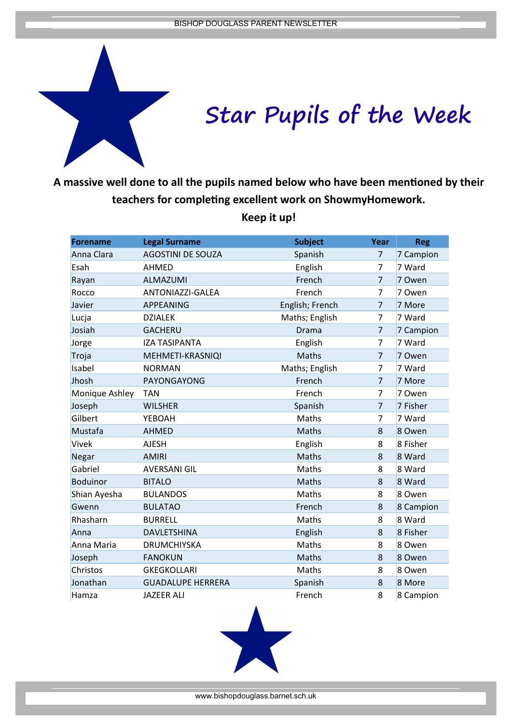

**A massive well done to all the pupils named below who have been mentioned by their teachers for completing excellent work on ShowmyHomework.** 

**Forename Legal Surname Subject Year Reg** Anna Clara AGOSTINI DE SOUZA Spanish 7 7 Campion Esah AHMED English 7 7 Ward Rayan ALMAZUMI French 7 7 Owen Rocco ANTONIAZZI-GALEA French 7 7 Owen Javier **APPEANING** English; French 7 7 More Lucja DZIALEK Maths; English 7 7 Ward Josiah GACHERU Drama 7 7 Campion Jorge IZA TASIPANTA English 7 7 Ward Troja MEHMETI-KRASNIQI Maths 7 7 Owen Isabel MORMAN Maths; English 7 7 Ward Jhosh PAYONGAYONG French 7 7 More Monique Ashley TAN **French** French 7 7 Owen Joseph WILSHER Spanish 7 7 Fisher Gilbert YEBOAH Maths 7 7 Ward Mustafa AHMED Maths 8 8 Owen Vivek AJESH English 8 8 Fisher Negar AMIRI Maths 8 8 Ward Gabriel AVERSANI GIL Maths 8 8 Ward Boduinor BITALO Maths 8 8 Ward Shian Ayesha BULANDOS Maths Maths 8 8 Owen Gwenn BULATAO French 8 8 Campion Rhasharn BURRELL **Maths** 8 8 Ward Anna DAVLETSHINA English 8 8 Fisher Anna Maria DRUMCHIYSKA Maths 8 8 Owen Joseph FANOKUN Maths 8 8 Owen Christos GKEGKOLLARI Maths Maths 8 8 Owen Jonathan GUADALUPE HERRERA Spanish 8 8 More Hamza JAZEER ALI French 8 8 Campion

**Keep it up!** 

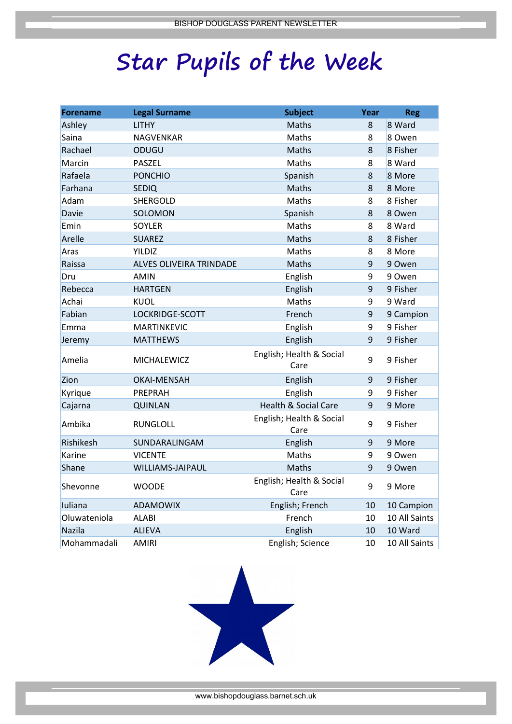# **Star Pupils of the Week**

| <b>Forename</b> | <b>Legal Surname</b>    | <b>Subject</b>                   | Year | <b>Reg</b>    |
|-----------------|-------------------------|----------------------------------|------|---------------|
| Ashley          | <b>LITHY</b>            | Maths                            | 8    | 8 Ward        |
| Saina           | <b>NAGVENKAR</b>        | Maths                            | 8    | 8 Owen        |
| Rachael         | ODUGU                   | Maths                            | 8    | 8 Fisher      |
| Marcin          | <b>PASZEL</b>           | Maths                            | 8    | 8 Ward        |
| Rafaela         | <b>PONCHIO</b>          | Spanish                          | 8    | 8 More        |
| Farhana         | <b>SEDIQ</b>            | Maths                            | 8    | 8 More        |
| Adam            | SHERGOLD                | Maths                            | 8    | 8 Fisher      |
| <b>Davie</b>    | SOLOMON                 | Spanish                          | 8    | 8 Owen        |
| Emin            | SOYLER                  | Maths                            | 8    | 8 Ward        |
| Arelle          | <b>SUAREZ</b>           | Maths                            | 8    | 8 Fisher      |
| Aras            | YILDIZ                  | Maths                            | 8    | 8 More        |
| Raissa          | ALVES OLIVEIRA TRINDADE | Maths                            | 9    | 9 Owen        |
| Dru             | <b>AMIN</b>             | English                          | 9    | 9 Owen        |
| Rebecca         | <b>HARTGEN</b>          | English                          | 9    | 9 Fisher      |
| Achai           | <b>KUOL</b>             | Maths                            | 9    | 9 Ward        |
| Fabian          | LOCKRIDGE-SCOTT         | French                           | 9    | 9 Campion     |
| Emma            | <b>MARTINKEVIC</b>      | English                          | 9    | 9 Fisher      |
| Jeremy          | <b>MATTHEWS</b>         | English                          | 9    | 9 Fisher      |
| Amelia          | MICHALEWICZ             | English; Health & Social<br>Care | 9    | 9 Fisher      |
| Zion            | <b>OKAI-MENSAH</b>      | English                          | 9    | 9 Fisher      |
| Kyrique         | PREPRAH                 | English                          | 9    | 9 Fisher      |
| Cajarna         | <b>QUINLAN</b>          | Health & Social Care             | 9    | 9 More        |
| Ambika          | <b>RUNGLOLL</b>         | English; Health & Social<br>Care | 9    | 9 Fisher      |
| Rishikesh       | SUNDARALINGAM           | English                          | 9    | 9 More        |
| Karine          | <b>VICENTE</b>          | Maths                            | 9    | 9 Owen        |
| Shane           | <b>WILLIAMS-JAIPAUL</b> | Maths                            | 9    | 9 Owen        |
| Shevonne        | <b>WOODE</b>            | English; Health & Social<br>Care | 9    | 9 More        |
| luliana         | <b>ADAMOWIX</b>         | English; French                  | 10   | 10 Campion    |
| Oluwateniola    | <b>ALABI</b>            | French                           | 10   | 10 All Saints |
| Nazila          | <b>ALIEVA</b>           | English                          | 10   | 10 Ward       |
| Mohammadali     | <b>AMIRI</b>            | English; Science                 | 10   | 10 All Saints |